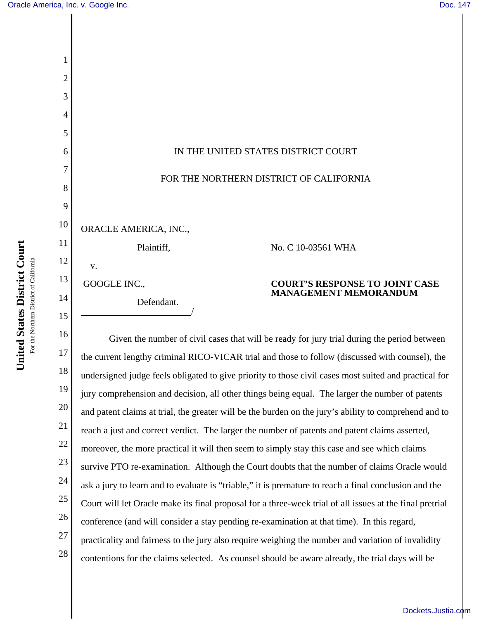

18 19 20 21 22 23 24 25 26 27 28 the current lengthy criminal RICO-VICAR trial and those to follow (discussed with counsel), the undersigned judge feels obligated to give priority to those civil cases most suited and practical for jury comprehension and decision, all other things being equal. The larger the number of patents and patent claims at trial, the greater will be the burden on the jury's ability to comprehend and to reach a just and correct verdict. The larger the number of patents and patent claims asserted, moreover, the more practical it will then seem to simply stay this case and see which claims survive PTO re-examination. Although the Court doubts that the number of claims Oracle would ask a jury to learn and to evaluate is "triable," it is premature to reach a final conclusion and the Court will let Oracle make its final proposal for a three-week trial of all issues at the final pretrial conference (and will consider a stay pending re-examination at that time). In this regard, practicality and fairness to the jury also require weighing the number and variation of invalidity contentions for the claims selected. As counsel should be aware already, the trial days will be